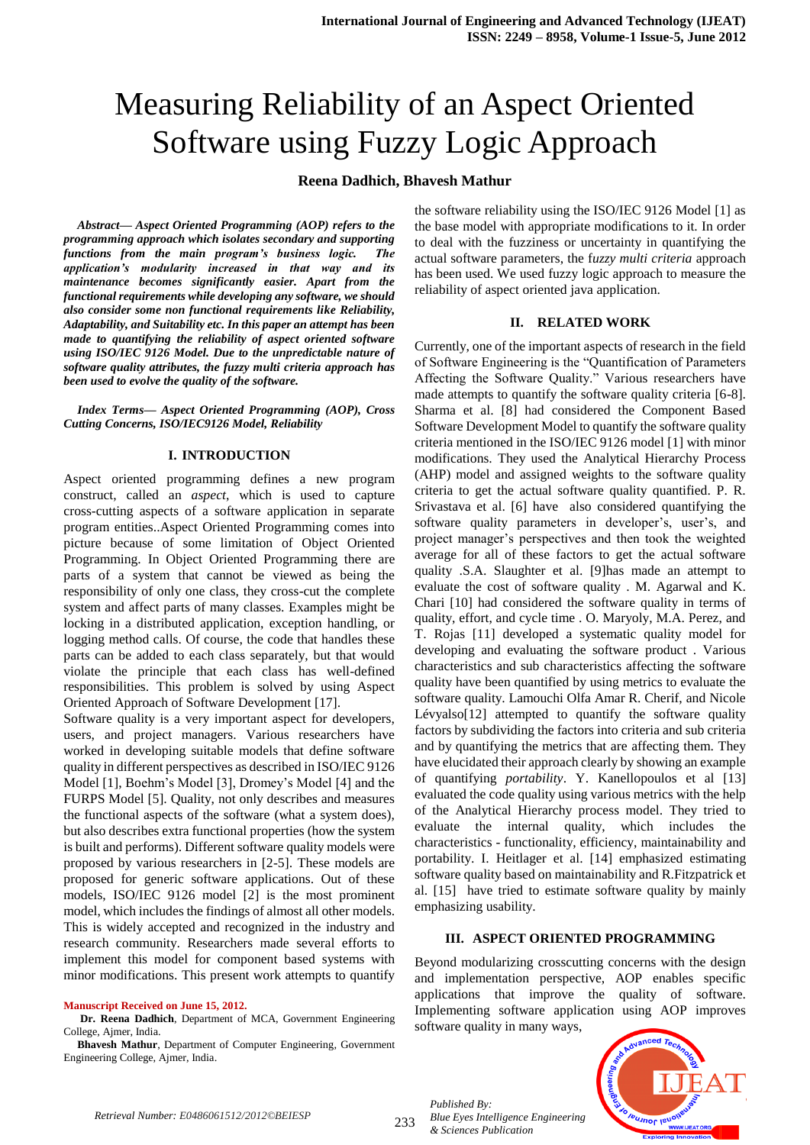# Measuring Reliability of an Aspect Oriented Software using Fuzzy Logic Approach

#### **Reena Dadhich, Bhavesh Mathur**

*Abstract— Aspect Oriented Programming (AOP) refers to the programming approach which isolates secondary and supporting functions from the main program's business logic. The application's modularity increased in that way and its maintenance becomes significantly easier. Apart from the functional requirements while developing any software, we should also consider some non functional requirements like Reliability, Adaptability, and Suitability etc. In this paper an attempt has been made to quantifying the reliability of aspect oriented software using ISO/IEC 9126 Model. Due to the unpredictable nature of software quality attributes, the fuzzy multi criteria approach has been used to evolve the quality of the software.*

*Index Terms— Aspect Oriented Programming (AOP), Cross Cutting Concerns, ISO/IEC9126 Model, Reliability*

#### **I. INTRODUCTION**

Aspect oriented programming defines a new program construct, called an *aspect*, which is used to capture cross-cutting aspects of a software application in separate program entities..Aspect Oriented Programming comes into picture because of some limitation of Object Oriented Programming. In Object Oriented Programming there are parts of a system that cannot be viewed as being the responsibility of only one class, they cross-cut the complete system and affect parts of many classes. Examples might be locking in a distributed application, exception handling, or logging method calls. Of course, the code that handles these parts can be added to each class separately, but that would violate the principle that each class has well-defined responsibilities. This problem is solved by using Aspect Oriented Approach of Software Development [17].

Software quality is a very important aspect for developers, users, and project managers. Various researchers have worked in developing suitable models that define software quality in different perspectives as described in ISO/IEC 9126 Model [1], Boehm's Model [3], Dromey's Model [4] and the FURPS Model [5]. Quality, not only describes and measures the functional aspects of the software (what a system does), but also describes extra functional properties (how the system is built and performs). Different software quality models were proposed by various researchers in [2-5]. These models are proposed for generic software applications. Out of these models, ISO/IEC 9126 model [2] is the most prominent model, which includes the findings of almost all other models. This is widely accepted and recognized in the industry and research community. Researchers made several efforts to implement this model for component based systems with minor modifications. This present work attempts to quantify

#### **Manuscript Received on June 15, 2012.**

**Dr. Reena Dadhich**, Department of MCA, Government Engineering College, Ajmer, India.

**Bhavesh Mathur**, Department of Computer Engineering, Government Engineering College, Ajmer, India.

the software reliability using the ISO/IEC 9126 Model [1] as the base model with appropriate modifications to it. In order to deal with the fuzziness or uncertainty in quantifying the actual software parameters, the f*uzzy multi criteria* approach has been used. We used fuzzy logic approach to measure the reliability of aspect oriented java application.

#### **II. RELATED WORK**

Currently, one of the important aspects of research in the field of Software Engineering is the "Quantification of Parameters" Affecting the Software Quality." Various researchers have made attempts to quantify the software quality criteria [6-8]. Sharma et al. [8] had considered the Component Based Software Development Model to quantify the software quality criteria mentioned in the ISO/IEC 9126 model [1] with minor modifications. They used the Analytical Hierarchy Process (AHP) model and assigned weights to the software quality criteria to get the actual software quality quantified. P. R. Srivastava et al. [6] have also considered quantifying the software quality parameters in developer's, user's, and project manager's perspectives and then took the weighted average for all of these factors to get the actual software quality .S.A. Slaughter et al. [9]has made an attempt to evaluate the cost of software quality . M. Agarwal and K. Chari [10] had considered the software quality in terms of quality, effort, and cycle time . O. Maryoly, M.A. Perez, and T. Rojas [11] developed a systematic quality model for developing and evaluating the software product . Various characteristics and sub characteristics affecting the software quality have been quantified by using metrics to evaluate the software quality. Lamouchi Olfa Amar R. Cherif, and Nicole Lévyalso[12] attempted to quantify the software quality factors by subdividing the factors into criteria and sub criteria and by quantifying the metrics that are affecting them. They have elucidated their approach clearly by showing an example of quantifying *portability*. Y. Kanellopoulos et al [13] evaluated the code quality using various metrics with the help of the Analytical Hierarchy process model. They tried to evaluate the internal quality, which includes the characteristics - functionality, efficiency, maintainability and portability. I. Heitlager et al. [14] emphasized estimating software quality based on maintainability and R.Fitzpatrick et al. [15] have tried to estimate software quality by mainly emphasizing usability.

#### **III. ASPECT ORIENTED PROGRAMMING**

Beyond modularizing crosscutting concerns with the design and implementation perspective, AOP enables specific applications that improve the quality of software. Implementing software application using AOP improves software quality in many ways,



233

*Published By: Blue Eyes Intelligence Engineering & Sciences Publication*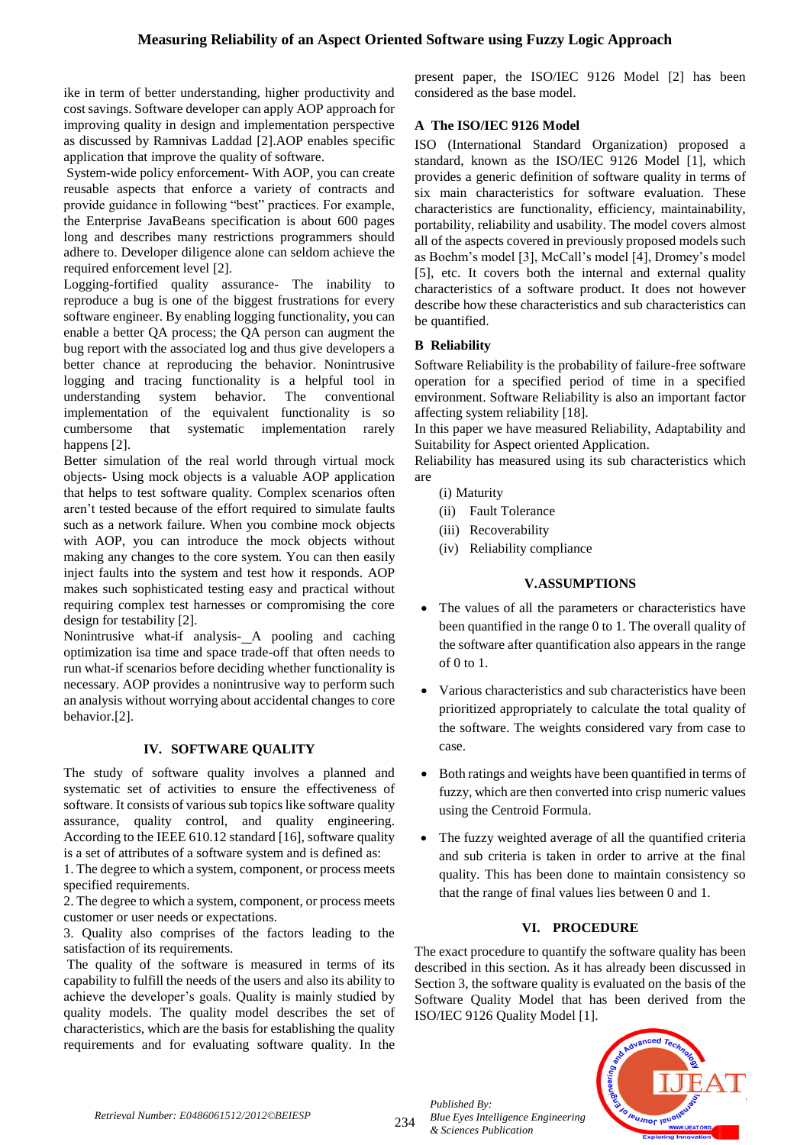ike in term of better understanding, higher productivity and cost savings. Software developer can apply AOP approach for improving quality in design and implementation perspective as discussed by Ramnivas Laddad [2].AOP enables specific application that improve the quality of software.

System-wide policy enforcement- With AOP, you can create reusable aspects that enforce a variety of contracts and provide guidance in following "best" practices. For example, the Enterprise JavaBeans specification is about 600 pages long and describes many restrictions programmers should adhere to. Developer diligence alone can seldom achieve the required enforcement level [2].

Logging-fortified quality assurance- The inability to reproduce a bug is one of the biggest frustrations for every software engineer. By enabling logging functionality, you can enable a better QA process; the QA person can augment the bug report with the associated log and thus give developers a better chance at reproducing the behavior. Nonintrusive logging and tracing functionality is a helpful tool in understanding system behavior. The conventional implementation of the equivalent functionality is so cumbersome that systematic implementation rarely happens [2].

Better simulation of the real world through virtual mock objects- Using mock objects is a valuable AOP application that helps to test software quality. Complex scenarios often aren't tested because of the effort required to simulate faults such as a network failure. When you combine mock objects with AOP, you can introduce the mock objects without making any changes to the core system. You can then easily inject faults into the system and test how it responds. AOP makes such sophisticated testing easy and practical without requiring complex test harnesses or compromising the core design for testability [2].

Nonintrusive what-if analysis- A pooling and caching optimization isa time and space trade-off that often needs to run what-if scenarios before deciding whether functionality is necessary. AOP provides a nonintrusive way to perform such an analysis without worrying about accidental changes to core behavior.[2].

# **IV. SOFTWARE QUALITY**

The study of software quality involves a planned and systematic set of activities to ensure the effectiveness of software. It consists of various sub topics like software quality assurance, quality control, and quality engineering. According to the IEEE 610.12 standard [16], software quality is a set of attributes of a software system and is defined as:

1. The degree to which a system, component, or process meets specified requirements.

2. The degree to which a system, component, or process meets customer or user needs or expectations.

3. Quality also comprises of the factors leading to the satisfaction of its requirements.

The quality of the software is measured in terms of its capability to fulfill the needs of the users and also its ability to achieve the developer's goals. Quality is mainly studied by quality models. The quality model describes the set of characteristics, which are the basis for establishing the quality requirements and for evaluating software quality. In the present paper, the ISO/IEC 9126 Model [2] has been considered as the base model.

# **A The ISO/IEC 9126 Model**

ISO (International Standard Organization) proposed a standard, known as the ISO/IEC 9126 Model [1], which provides a generic definition of software quality in terms of six main characteristics for software evaluation. These characteristics are functionality, efficiency, maintainability, portability, reliability and usability. The model covers almost all of the aspects covered in previously proposed models such as Boehm's model [3], McCall's model [4], Dromey's model [5], etc. It covers both the internal and external quality characteristics of a software product. It does not however describe how these characteristics and sub characteristics can be quantified.

# **B Reliability**

Software Reliability is the probability of failure-free software operation for a specified period of time in a specified environment. Software Reliability is also an important factor affecting system reliability [18].

In this paper we have measured Reliability, Adaptability and Suitability for Aspect oriented Application.

Reliability has measured using its sub characteristics which are

- (i) Maturity
- (ii) Fault Tolerance
- (iii) Recoverability
- (iv) Reliability compliance

# **V.ASSUMPTIONS**

- The values of all the parameters or characteristics have been quantified in the range 0 to 1. The overall quality of the software after quantification also appears in the range of 0 to 1.
- Various characteristics and sub characteristics have been prioritized appropriately to calculate the total quality of the software. The weights considered vary from case to case.
- Both ratings and weights have been quantified in terms of fuzzy, which are then converted into crisp numeric values using the Centroid Formula.
- The fuzzy weighted average of all the quantified criteria and sub criteria is taken in order to arrive at the final quality. This has been done to maintain consistency so that the range of final values lies between 0 and 1.

# **VI. PROCEDURE**

The exact procedure to quantify the software quality has been described in this section. As it has already been discussed in Section 3, the software quality is evaluated on the basis of the Software Quality Model that has been derived from the ISO/IEC 9126 Quality Model [1].



*Retrieval Number: E0486061512/2012©BEIESP*

234

*Published By:*

*& Sciences Publication* 

*Blue Eyes Intelligence Engineering*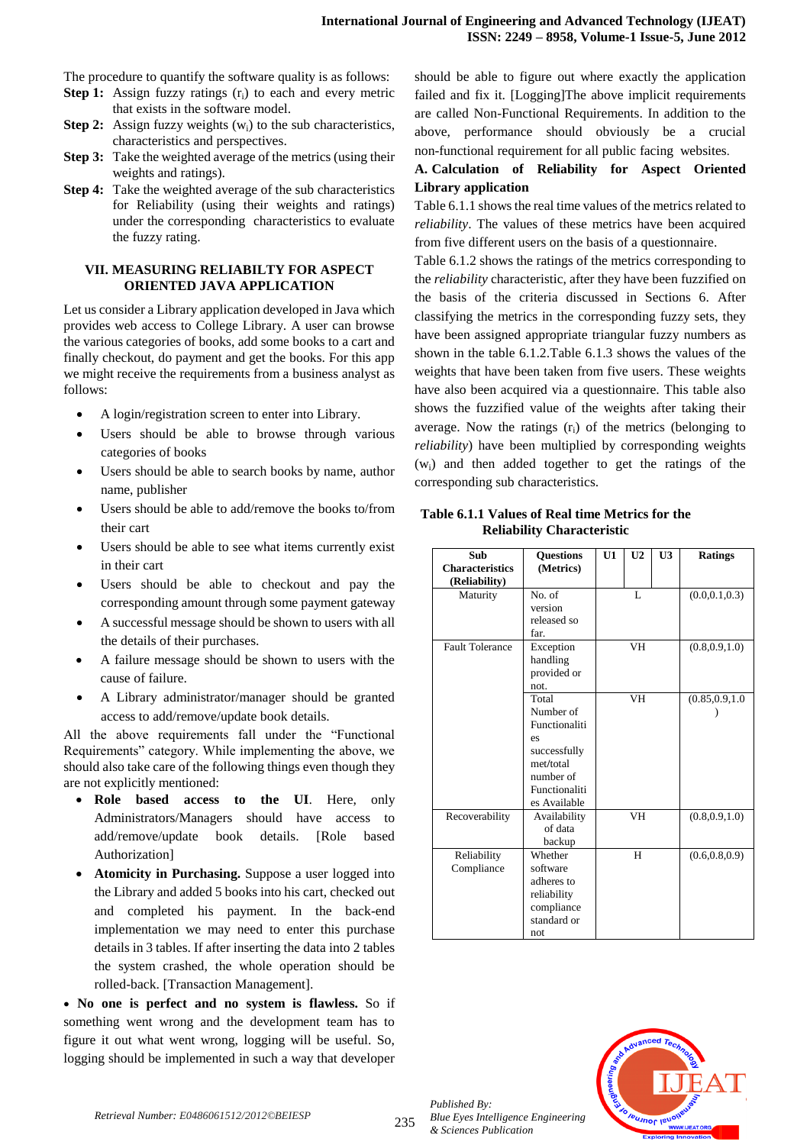The procedure to quantify the software quality is as follows:

- **Step 1:** Assign fuzzy ratings (r<sub>i</sub>) to each and every metric that exists in the software model.
- **Step 2:** Assign fuzzy weights  $(w_i)$  to the sub characteristics, characteristics and perspectives.
- **Step 3:** Take the weighted average of the metrics (using their weights and ratings).
- **Step 4:** Take the weighted average of the sub characteristics for Reliability (using their weights and ratings) under the corresponding characteristics to evaluate the fuzzy rating.

#### **VII. MEASURING RELIABILTY FOR ASPECT ORIENTED JAVA APPLICATION**

Let us consider a Library application developed in Java which provides web access to College Library. A user can browse the various categories of books, add some books to a cart and finally checkout, do payment and get the books. For this app we might receive the requirements from a business analyst as follows:

- A login/registration screen to enter into Library.
- Users should be able to browse through various categories of books
- Users should be able to search books by name, author name, publisher
- Users should be able to add/remove the books to/from their cart
- Users should be able to see what items currently exist in their cart
- Users should be able to checkout and pay the corresponding amount through some payment gateway
- A successful message should be shown to users with all the details of their purchases.
- A failure message should be shown to users with the cause of failure.
- A Library administrator/manager should be granted access to add/remove/update book details.

All the above requirements fall under the "Functional Requirements" category. While implementing the above, we should also take care of the following things even though they are not explicitly mentioned:

- **Role based access to the UI**. Here, only Administrators/Managers should have access to add/remove/update book details. [Role based Authorization]
- **Atomicity in Purchasing.** Suppose a user logged into the Library and added 5 books into his cart, checked out and completed his payment. In the back-end implementation we may need to enter this purchase details in 3 tables. If after inserting the data into 2 tables the system crashed, the whole operation should be rolled-back. [Transaction Management].

 **No one is perfect and no system is flawless.** So if something went wrong and the development team has to figure it out what went wrong, logging will be useful. So, logging should be implemented in such a way that developer

should be able to figure out where exactly the application failed and fix it. [Logging]The above implicit requirements are called Non-Functional Requirements. In addition to the above, performance should obviously be a crucial non-functional requirement for all public facing websites.

# **A. Calculation of Reliability for Aspect Oriented Library application**

Table 6.1.1 shows the real time values of the metrics related to *reliability*. The values of these metrics have been acquired from five different users on the basis of a questionnaire.

Table 6.1.2 shows the ratings of the metrics corresponding to the *reliability* characteristic, after they have been fuzzified on the basis of the criteria discussed in Sections 6. After classifying the metrics in the corresponding fuzzy sets, they have been assigned appropriate triangular fuzzy numbers as shown in the table 6.1.2.Table 6.1.3 shows the values of the weights that have been taken from five users. These weights have also been acquired via a questionnaire. This table also shows the fuzzified value of the weights after taking their average. Now the ratings  $(r_i)$  of the metrics (belonging to *reliability*) have been multiplied by corresponding weights (wi) and then added together to get the ratings of the corresponding sub characteristics.

#### **Table 6.1.1 Values of Real time Metrics for the Reliability Characteristic**

| Sub<br><b>Characteristics</b> | <b>Ouestions</b><br>(Metrics) | U1 | U <sub>2</sub> | U <sub>3</sub> | <b>Ratings</b>   |
|-------------------------------|-------------------------------|----|----------------|----------------|------------------|
| (Reliability)                 |                               |    |                |                |                  |
| Maturity                      | No. of                        |    | L              |                | (0.0, 0.1, 0.3)  |
|                               | version                       |    |                |                |                  |
|                               | released so                   |    |                |                |                  |
|                               | far.                          |    |                |                |                  |
| <b>Fault Tolerance</b>        | Exception                     |    | VH             |                | (0.8, 0.9, 1.0)  |
|                               | handling                      |    |                |                |                  |
|                               | provided or                   |    |                |                |                  |
|                               | not.<br>Total                 |    |                |                |                  |
|                               | Number of                     |    | <b>VH</b>      |                | (0.85, 0.9, 1.0) |
|                               | Functionaliti                 |    |                |                |                  |
|                               | es                            |    |                |                |                  |
|                               | successfully                  |    |                |                |                  |
|                               | met/total                     |    |                |                |                  |
|                               | number of                     |    |                |                |                  |
|                               | Functionaliti                 |    |                |                |                  |
|                               | es Available                  |    |                |                |                  |
| Recoverability                | Availability                  |    | <b>VH</b>      |                | (0.8, 0.9, 1.0)  |
|                               | of data                       |    |                |                |                  |
|                               | backup                        |    |                |                |                  |
| Reliability                   | Whether                       |    | H              |                | (0.6, 0.8, 0.9)  |
| Compliance                    | software                      |    |                |                |                  |
|                               | adheres to                    |    |                |                |                  |
|                               | reliability                   |    |                |                |                  |
|                               | compliance                    |    |                |                |                  |
|                               | standard or                   |    |                |                |                  |
|                               | not                           |    |                |                |                  |



*Published By:*

*& Sciences Publication*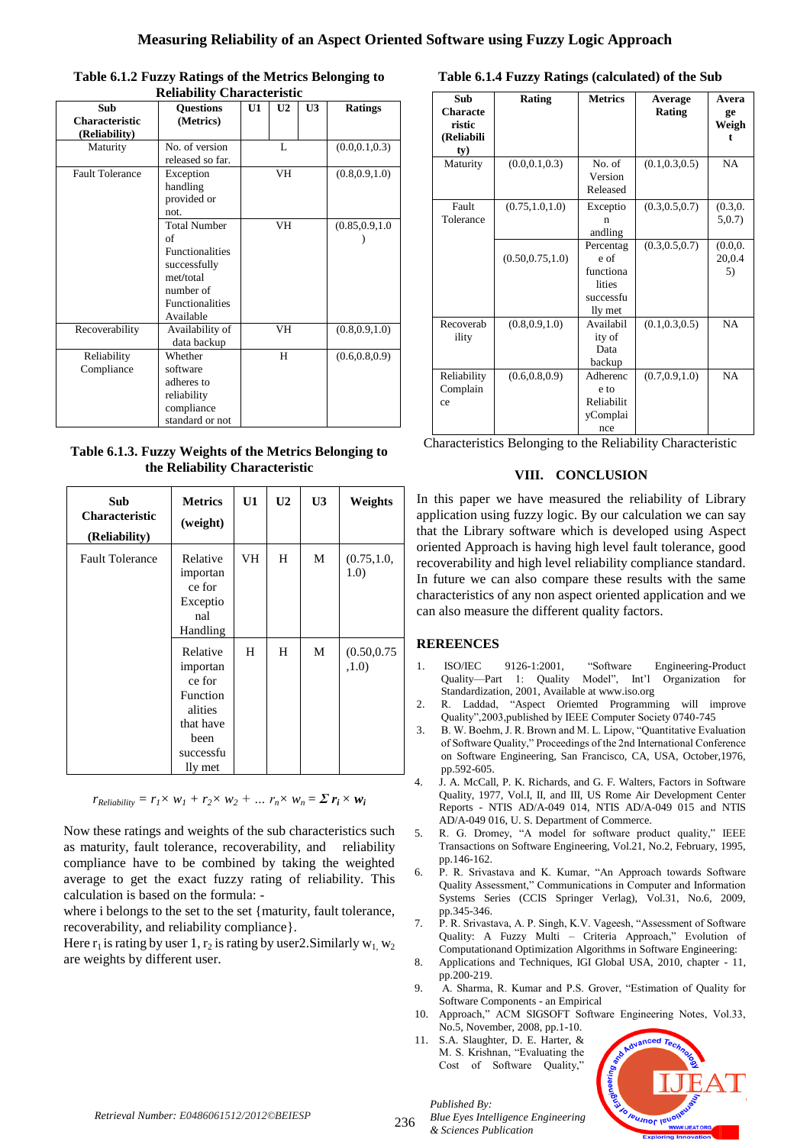| Sub                       | <b>Ouestions</b>                                                                                                              | U1       | U <sub>2</sub> | U <sub>3</sub>   | <b>Ratings</b>  |
|---------------------------|-------------------------------------------------------------------------------------------------------------------------------|----------|----------------|------------------|-----------------|
| Characteristic            | (Metrics)                                                                                                                     |          |                |                  |                 |
| (Reliability)             |                                                                                                                               |          |                |                  |                 |
| Maturity                  | No. of version<br>released so far.                                                                                            | L        |                |                  | (0.0, 0.1, 0.3) |
| <b>Fault Tolerance</b>    | Exception<br>handling<br>provided or<br>not.                                                                                  | VH<br>VH |                |                  | (0.8, 0.9, 1.0) |
|                           | <b>Total Number</b><br>of<br><b>Functionalities</b><br>successfully<br>met/total<br>number of<br>Functionalities<br>Available |          |                | (0.85, 0.9, 1.0) |                 |
| Recoverability            | Availability of<br>data backup                                                                                                | VH       |                | (0.8, 0.9, 1.0)  |                 |
| Reliability<br>Compliance | Whether<br>software<br>adheres to<br>reliability<br>compliance<br>standard or not                                             | H        |                | (0.6, 0.8, 0.9)  |                 |

**Table 6.1.2 Fuzzy Ratings of the Metrics Belonging to Reliability Characteristic**

**Table 6.1.3. Fuzzy Weights of the Metrics Belonging to the Reliability Characteristic**

| Sub<br><b>Characteristic</b><br>(Reliability) | <b>Metrics</b><br>(weight)                                                                         | U1  | U <sub>2</sub> | U <sub>3</sub> | Weights               |
|-----------------------------------------------|----------------------------------------------------------------------------------------------------|-----|----------------|----------------|-----------------------|
| <b>Fault Tolerance</b>                        | Relative<br>importan<br>ce for<br>Exceptio<br>nal<br>Handling                                      | VH. | H              | M              | (0.75, 1.0,<br>1.0)   |
|                                               | Relative<br>importan<br>ce for<br>Function<br>alities<br>that have<br>been<br>successfu<br>lly met | H   | H              | M              | (0.50, 0.75)<br>,1.0) |

 $r_{\text{Reliability}} = r_1 \times w_1 + r_2 \times w_2 + ...$   $r_n \times w_n = \sum r_i \times w_i$ 

Now these ratings and weights of the sub characteristics such as maturity, fault tolerance, recoverability, and reliability compliance have to be combined by taking the weighted average to get the exact fuzzy rating of reliability. This calculation is based on the formula: -

where i belongs to the set to the set {maturity, fault tolerance, recoverability, and reliability compliance}.

Here  $r_1$  is rating by user 1,  $r_2$  is rating by user 2. Similarly  $w_1$ ,  $w_2$ are weights by different user.

#### **Table 6.1.4 Fuzzy Ratings (calculated) of the Sub**

| Sub<br><b>Characte</b><br>ristic<br>(Reliabili<br>ty) | Rating            | <b>Metrics</b>                                                   | Average<br>Rating | Avera<br>ge<br>Weigh       |
|-------------------------------------------------------|-------------------|------------------------------------------------------------------|-------------------|----------------------------|
| Maturity                                              | (0.0, 0.1, 0.3)   | No. of<br>Version<br>Released                                    | (0.1, 0.3, 0.5)   | NA                         |
| Fault<br>Tolerance                                    | (0.75, 1.0, 1.0)  | Exceptio<br>n<br>andling                                         | (0.3, 0.5, 0.7)   | (0.3, 0.<br>5,0.7          |
|                                                       | (0.50, 0.75, 1.0) | Percentag<br>e of<br>functiona<br>lities<br>successfu<br>lly met | (0.3, 0.5, 0.7)   | (0.0, 0.0)<br>20,0.4<br>5) |
| Recoverab<br>ility                                    | (0.8, 0.9, 1.0)   | Availabil<br>ity of<br>Data<br>backup                            | (0.1, 0.3, 0.5)   | <b>NA</b>                  |
| Reliability<br>Complain<br>ce                         | (0.6, 0.8, 0.9)   | Adherenc<br>e to<br>Reliabilit<br>yComplai<br>nce                | (0.7, 0.9, 1.0)   | <b>NA</b>                  |

Characteristics Belonging to the Reliability Characteristic

# **VIII. CONCLUSION**

In this paper we have measured the reliability of Library application using fuzzy logic. By our calculation we can say that the Library software which is developed using Aspect oriented Approach is having high level fault tolerance, good recoverability and high level reliability compliance standard. In future we can also compare these results with the same characteristics of any non aspect oriented application and we can also measure the different quality factors.

# **REREENCES**

- 1. ISO/IEC 9126-1:2001, "Software Engineering-Product Quality—Part 1: Quality Model", Int'l Organization for Standardization, 2001, Available at www.iso.org
- 2. R. Laddad, "Aspect Oriemted Programming will improve Quality‖,2003,published by IEEE Computer Society 0740-745
- 3. B. W. Boehm, J. R. Brown and M. L. Lipow, "Quantitative Evaluation of Software Quality," Proceedings of the 2nd International Conference on Software Engineering, San Francisco, CA, USA, October,1976, pp.592-605.
- 4. J. A. McCall, P. K. Richards, and G. F. Walters, Factors in Software Quality, 1977, Vol.I, II, and III, US Rome Air Development Center Reports - NTIS AD/A-049 014, NTIS AD/A-049 015 and NTIS AD/A-049 016, U. S. Department of Commerce.
- 5. R. G. Dromey, "A model for software product quality," IEEE Transactions on Software Engineering, Vol.21, No.2, February, 1995, pp.146-162.
- 6. P. R. Srivastava and K. Kumar, "An Approach towards Software Quality Assessment," Communications in Computer and Information Systems Series (CCIS Springer Verlag), Vol.31, No.6, 2009, pp.345-346.
- 7. P. R. Srivastava, A. P. Singh, K.V. Vageesh, "Assessment of Software Quality: A Fuzzy Multi – Criteria Approach," Evolution of Computationand Optimization Algorithms in Software Engineering:
- 8. Applications and Techniques, IGI Global USA, 2010, chapter 11, pp.200-219.
- 9. A. Sharma, R. Kumar and P.S. Grover, "Estimation of Quality for Software Components - an Empirical
- 10. Approach," ACM SIGSOFT Software Engineering Notes, Vol.33, No.5, November, 2008, pp.1-10.
- 11. S.A. Slaughter, D. E. Harter, & M. S. Krishnan, "Evaluating the Cost of Software Quality,"



236 *Blue Eyes Intelligence Engineering & Sciences Publication* 

*Published By:*